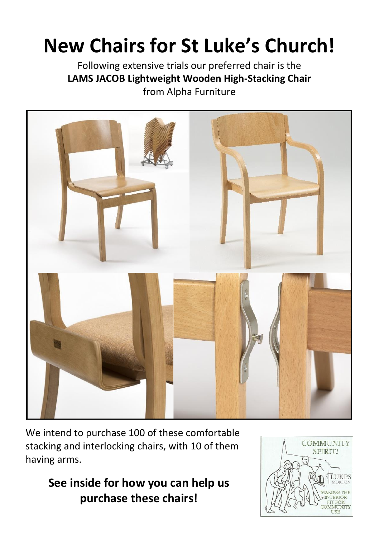## **New Chairs for St Luke's Church!**

Following extensive trials our preferred chair is the **LAMS JACOB Lightweight Wooden High-Stacking Chair** from Alpha Furniture



We intend to purchase 100 of these comfortable stacking and interlocking chairs, with 10 of them having arms.

> **See inside for how you can help us purchase these chairs!**

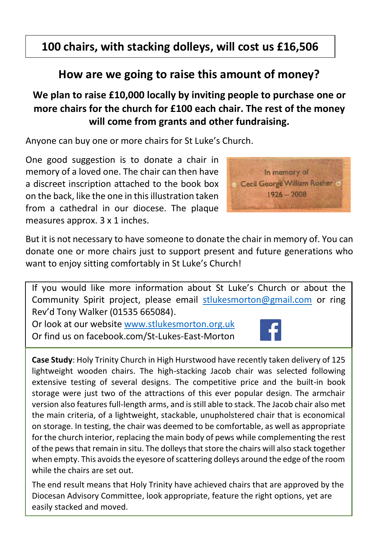### **100 chairs, with stacking dolleys, will cost us £16,506**

### **How are we going to raise this amount of money?**

#### **We plan to raise £10,000 locally by inviting people to purchase one or more chairs for the church for £100 each chair. The rest of the money will come from grants and other fundraising.**

Anyone can buy one or more chairs for St Luke's Church.

One good suggestion is to donate a chair in memory of a loved one. The chair can then have a discreet inscription attached to the book box on the back, like the one in this illustration taken from a cathedral in our diocese. The plaque measures approx. 3 x 1 inches.



But it is not necessary to have someone to donate the chair in memory of. You can donate one or more chairs just to support present and future generations who want to enjoy sitting comfortably in St Luke's Church!

If you would like more information about St Luke's Church or about the Community Spirit project, please email [stlukesmorton@gmail.com](mailto:stlukesmorton@gmail.com) or ring Rev'd Tony Walker (01535 665084).

Or look at our websit[e www.stlukesmorton.org.uk](http://www.stlukesmorton.org.uk/) Or find us on facebook.com/St-Lukes-East-Morton



**Case Study**: Holy Trinity Church in High Hurstwood have recently taken delivery of 125 lightweight wooden chairs. The high-stacking Jacob chair was selected following extensive testing of several designs. The competitive price and the built-in book storage were just two of the attractions of this ever popular design. The armchair version also features full-length arms, and is still able to stack. The Jacob chair also met the main criteria, of a lightweight, stackable, unupholstered chair that is economical on storage. In testing, the chair was deemed to be comfortable, as well as appropriate for the church interior, replacing the main body of pews while complementing the rest of the pews that remain in situ. The dolleys that store the chairs will also stack together when empty. This avoids the eyesore of scattering dolleys around the edge of the room while the chairs are set out.

The end result means that Holy Trinity have achieved chairs that are approved by the Diocesan Advisory Committee, look appropriate, feature the right options, yet are easily stacked and moved.